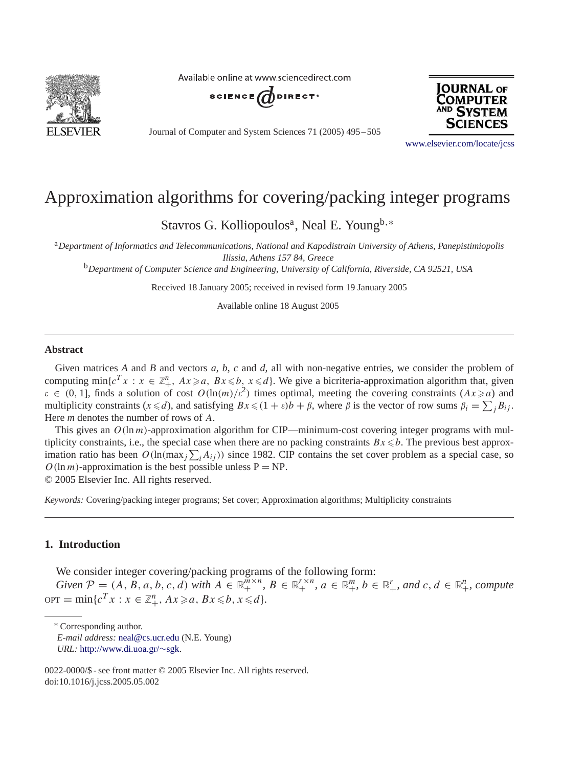

Available online at www.sciencedirect.com



Journal of Computer and System Sciences 71 (2005) 495 – 505



[www.elsevier.com/locate/jcss](http://www.elsevier.com/locate/jcss)

# Approximation algorithms for covering/packing integer programs

Stavros G. Kolliopoulos<sup>a</sup>, Neal E. Young<sup>b,\*</sup>

<sup>a</sup>*Department of Informatics and Telecommunications, National and Kapodistrain University of Athens, Panepistimiopolis Ilissia, Athens 157 84, Greece*

<sup>b</sup>*Department of Computer Science and Engineering, University of California, Riverside, CA 92521, USA*

Received 18 January 2005; received in revised form 19 January 2005

Available online 18 August 2005

#### **Abstract**

Given matrices *A* and *B* and vectors *a*, *b*, *c* and *d*, all with non-negative entries, we consider the problem of computing min{ $c^T x : x \in \mathbb{Z}_{+}^n$ ,  $Ax \ge a$ ,  $Bx \le b$ ,  $x \le d$ }. We give a bicriteria-approximation algorithm that, given  $\varepsilon \in (0, 1]$ , finds a solution of cost  $O(\ln(m)/\varepsilon^2)$  times optimal, meeting the covering constraints  $(Ax \ge a)$  and multiplicity constraints  $(x \le d)$ , and satisfying  $Bx \le (1 + \varepsilon)b + \beta$ , where  $\beta$  is the vector of row sums  $\beta_i = \sum_j B_{ij}$ . Here *m* denotes the number of rows of A.

This gives an  $O(\ln m)$ -approximation algorithm for CIP—minimum-cost covering integer programs with multiplicity constraints, i.e., the special case when there are no packing constraints  $Bx \le b$ . The previous best approximation ratio has been  $O(\ln(\max_j \sum_i A_{ij}))$  since 1982. CIP contains the set cover problem as a special case, so  $O(\ln m)$ -approximation is the best possible unless  $P = NP$ . © 2005 Elsevier Inc. All rights reserved.

*Keywords:* Covering/packing integer programs; Set cover; Approximation algorithms; Multiplicity constraints

## **1. Introduction**

We consider integer covering/packing programs of the following form:

 $Given P = (A, B, a, b, c, d)$  *with*  $A \in \mathbb{R}_+^{m \times n}$ ,  $B \in \mathbb{R}_+^{r \times n}$ ,  $a \in \mathbb{R}_+^m$ ,  $b \in \mathbb{R}_+^r$ , and  $c, d \in \mathbb{R}_+^n$ , compute  $\text{OPT} = \min\{c^T x : x \in \mathbb{Z}_+^n, Ax \geq a, Bx \leq b, x \leq d\}.$ 

<sup>∗</sup> Corresponding author.

*E-mail address:* [neal@cs.ucr.edu](mailto:neal@cs.ucr.edu) (N.E. Young)

*URL:* [http://www.di.uoa.gr/](http://www.di.uoa.gr/~sgk)∼sgk.

<sup>0022-0000/\$ -</sup> see front matter © 2005 Elsevier Inc. All rights reserved. doi:10.1016/j.jcss.2005.05.002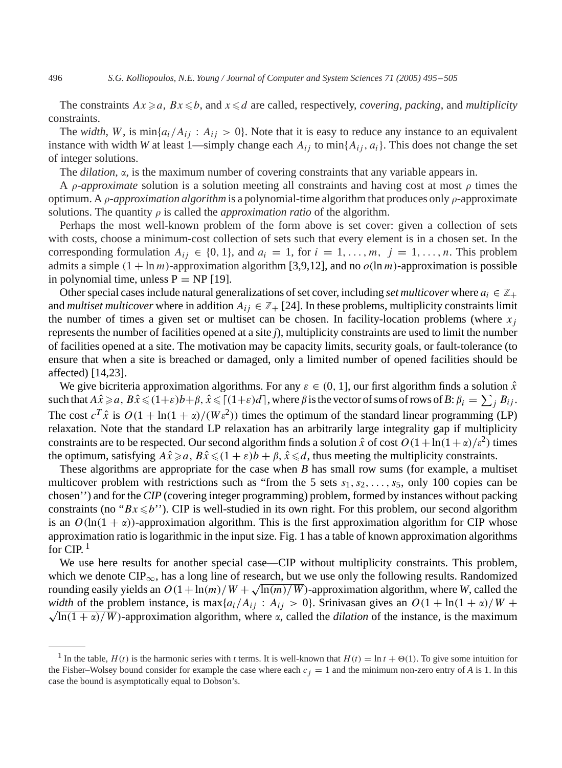The constraints  $Ax \ge a$ ,  $Bx \le b$ , and  $x \le d$  are called, respectively, *covering*, *packing*, and *multiplicity* constraints.

The *width*, W, is  $\min\{a_i/A_{ij}: A_{ij} > 0\}$ . Note that it is easy to reduce any instance to an equivalent instance with width *W* at least 1—simply change each  $A_{ij}$  to min $\{A_{ij}, a_i\}$ . This does not change the set of integer solutions.

The *dilation*,  $\alpha$ , is the maximum number of covering constraints that any variable appears in.

A  $\rho$ -*approximate* solution is a solution meeting all constraints and having cost at most  $\rho$  times the optimum. A  $\rho$ -*approximation algorithm* is a polynomial-time algorithm that produces only  $\rho$ -approximate solutions. The quantity  $\rho$  is called the *approximation ratio* of the algorithm.

Perhaps the most well-known problem of the form above is set cover: given a collection of sets with costs, choose a minimum-cost collection of sets such that every element is in a chosen set. In the corresponding formulation  $A_{ij} \in \{0, 1\}$ , and  $a_i = 1$ , for  $i = 1, \ldots, m$ ,  $j = 1, \ldots, n$ . This problem admits a simple  $(1 + \ln m)$ -approximation algorithm [\[3,](#page-9-0)[9,12\],](#page-10-0) and no  $o(\ln m)$ -approximation is possible in polynomial time, unless  $P = NP$  [\[19\].](#page-10-0)

Other special cases include natural generalizations of set cover, including *set multicover* where  $a_i \in \mathbb{Z}_+$ and *multiset multicover* where in addition  $A_{ij} \in \mathbb{Z}_+$  [\[24\].](#page-10-0) In these problems, multiplicity constraints limit the number of times a given set or multiset can be chosen. In facility-location problems (where  $x_j$ represents the number of facilities opened at a site *j*), multiplicity constraints are used to limit the number of facilities opened at a site. The motivation may be capacity limits, security goals, or fault-tolerance (to ensure that when a site is breached or damaged, only a limited number of opened facilities should be affected) [\[14,23\].](#page-10-0)

We give bicriteria approximation algorithms. For any  $\varepsilon \in (0, 1]$ , our first algorithm finds a solution  $\hat{x}$  $\text{such that } A\hat{x} \geqslant a,\, B\hat{x} \leqslant (1+\varepsilon)b+\beta,\, \hat{x} \leqslant \lceil (1+\varepsilon)d \rceil, \,\text{where } \beta \,\text{is the vector of sums of rows of } B;\, \beta_i \,=\, \sum_j\,B_{ij}.$ The cost  $c^T \hat{x}$  is  $O(1 + \ln(1 + \alpha)/(W \epsilon^2))$  times the optimum of the standard linear programming (LP) relaxation. Note that the standard LP relaxation has an arbitrarily large integrality gap if multiplicity constraints are to be respected. Our second algorithm finds a solution  $\hat{x}$  of cost  $O(1 + \ln(1 + \alpha)/\epsilon^2)$  times the optimum, satisfying  $A\hat{x} \ge a$ ,  $B\hat{x} \le (1 + \varepsilon)b + \beta$ ,  $\hat{x} \le d$ , thus meeting the multiplicity constraints.

These algorithms are appropriate for the case when *B* has small row sums (for example, a multiset multicover problem with restrictions such as "from the 5 sets  $s_1, s_2, \ldots, s_5$ , only 100 copies can be chosen'') and for the *CIP* (covering integer programming) problem, formed by instances without packing constraints (no " $Bx \le b$ "). CIP is well-studied in its own right. For this problem, our second algorithm is an  $O(\ln(1 + \alpha))$ -approximation algorithm. This is the first approximation algorithm for CIP whose approximation ratio is logarithmic in the input size. Fig. [1](#page-2-0) has a table of known approximation algorithms for CIP.<sup>1</sup>

We use here results for another special case—CIP without multiplicity constraints. This problem, which we denote  $\text{CIP}_{\infty}$ , has a long line of research, but we use only the following results. Randomized rounding easily yields an  $O(1 + \ln(m)/W + \sqrt{\ln(m)/W})$ -approximation algorithm, where *W*, called the *width* of the problem instance, is max $\{a_i/A_{ij} : A_{ij} > 0\}$ . Srinivasan gives an  $O(1 + \ln(1 + \alpha)/W +$  $\sqrt{\ln(1 + \alpha)/W}$ )-approximation algorithm, where  $\alpha$ , called the *dilation* of the instance, is the maximum

<sup>&</sup>lt;sup>1</sup> In the table,  $H(t)$  is the harmonic series with *t* terms. It is well-known that  $H(t) = \ln t + \Theta(1)$ . To give some intuition for the Fisher–Wolsey bound consider for example the case where each  $c_j = 1$  and the minimum non-zero entry of *A* is 1. In this case the bound is asymptotically equal to Dobson's.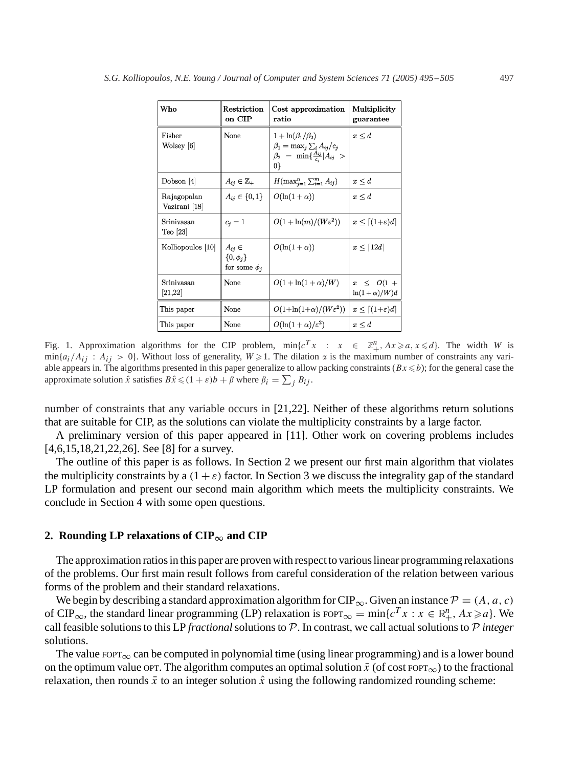<span id="page-2-0"></span>

| Who                          | Restriction<br>on CIP                               | Cost approximation<br>ratio                                                                                               | Multiplicity<br>guarantee               |
|------------------------------|-----------------------------------------------------|---------------------------------------------------------------------------------------------------------------------------|-----------------------------------------|
| Fisher<br>Wolsey [6]         | None                                                | $1 + \ln(\beta_1/\beta_2)$<br>$\beta_1 = \max_i \sum_i A_{ij}/c_i$<br>$\beta_2 = \min\{\frac{A_{ij}}{c_i} A_{ij} >$<br>0} | $x \leq d$                              |
| Dobson $[4]$                 | $A_{ij} \in \mathbb{Z}_+$                           | $H(\max_{j=1}^n \sum_{i=1}^m A_{ij})$                                                                                     | $x \leq d$                              |
| Rajagopalan<br>Vazirani [18] | $A_{ij} \in \{0, 1\}$                               | $O(\ln(1+\alpha))$                                                                                                        | $x \leq d$                              |
| Srinivasan<br>$Teo$ [23]     | $c_i=1$                                             | $O(1+\ln(m)/(W\epsilon^2))$                                                                                               | $x \leq \lceil (1+\varepsilon)d \rceil$ |
| Kolliopoulos [10]            | $A_{ij} \in$<br>$\{0,\phi_i\}$<br>for some $\phi_i$ | $O(\ln(1+\alpha))$                                                                                                        | $x \leq \lceil 12d \rceil$              |
| Srinivasan<br>[21, 22]       | None                                                | $O(1+\ln(1+\alpha)/W)$                                                                                                    | $x \leq O(1 +$<br>$\ln(1+\alpha)/W)d$   |
| This paper                   | None                                                | $O(1+\ln(1+\alpha)/(W\epsilon^2))$                                                                                        | $x \leq \lceil (1+\varepsilon)d \rceil$ |
| This paper                   | None                                                | $O(\ln(1+\alpha)/\varepsilon^2)$                                                                                          | $x \leq d$                              |

Fig. 1. Approximation algorithms for the CIP problem,  $\min\{c^T x : x \in \mathbb{Z}_+^n, Ax \geq a, x \leq d\}$ . The width *W* is  $\min\{a_i/A_{ii}: A_{ii} > 0\}$ . Without loss of generality,  $W \ge 1$ . The dilation  $\alpha$  is the maximum number of constraints any variable appears in. The algorithms presented in this paper generalize to allow packing constraints  $(Bx \le b)$ ; for the general case the approximate solution  $\hat{x}$  satisfies  $B\hat{x} \leq (1 + \varepsilon)b + \beta$  where  $\beta_i = \sum_j B_{ij}$ .

number of constraints that any variable occurs in [\[21,22\].](#page-10-0) Neither of these algorithms return solutions that are suitable for CIP, as the solutions can violate the multiplicity constraints by a large factor.

A preliminary version of this paper appeared in [\[11\].](#page-10-0) Other work on covering problems includes [\[4,6,15,18,21,22,26\].](#page-10-0) See [\[8\]](#page-10-0) for a survey.

The outline of this paper is as follows. In Section 2 we present our first main algorithm that violates the multiplicity constraints by a  $(1 + \varepsilon)$  factor. In Section [3](#page-6-0) we discuss the integrality gap of the standard LP formulation and present our second main algorithm which meets the multiplicity constraints. We conclude in Section [4](#page-8-0) with some open questions.

#### 2. Rounding LP relaxations of  $\text{CIP}_{\infty}$  and  $\text{CIP}$

The approximation ratios in this paper are proven with respect to various linear programming relaxations of the problems. Our first main result follows from careful consideration of the relation between various forms of the problem and their standard relaxations.

We begin by describing a standard approximation algorithm for CIP<sub>∞</sub>. Given an instance  $P = (A, a, c)$ of CIP<sub>∞</sub>, the standard linear programming (LP) relaxation is  $F\circ PT_{\infty} = \min\{c^T x : x \in \mathbb{R}^n_+, Ax \geq a\}$ . We call feasible solutions to this LP *fractional*solutions to P. In contrast, we call actual solutions to P *integer* solutions.

The value FOPT<sub>∞</sub> can be computed in polynomial time (using linear programming) and is a lower bound on the optimum value OPT. The algorithm computes an optimal solution  $\bar{x}$  (of cost FOPT<sub>∞</sub>) to the fractional relaxation, then rounds  $\bar{x}$  to an integer solution  $\hat{x}$  using the following randomized rounding scheme: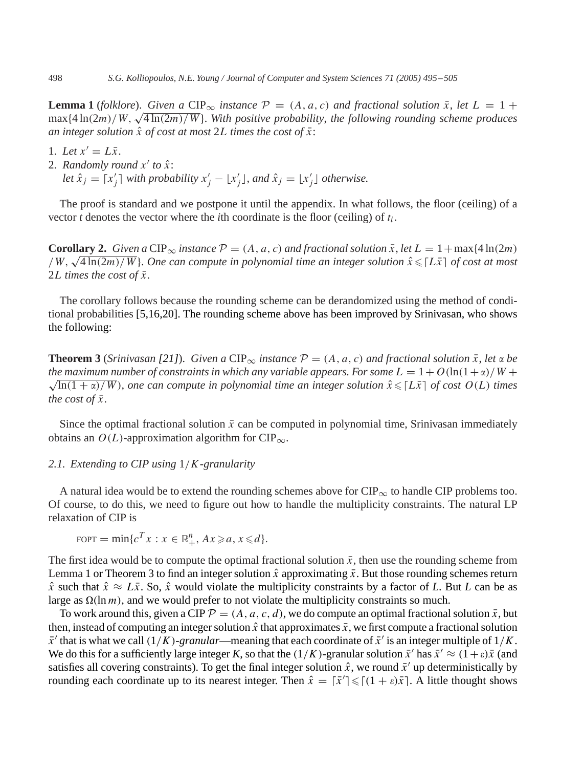**Lemma 1** (*folklore*). *Given a* CIP<sub>∞</sub> *instance*  $P = (A, a, c)$  *and fractional solution*  $\bar{x}$ *, let*  $L = 1 +$ max $\{4 \ln(2m)/W, \sqrt{4 \ln(2m)/W}\}\$ . *With positive probability, the following rounding scheme produces an integer solution*  $\hat{x}$  *of cost at most* 2L *times the cost of*  $\bar{x}$ :

- 1. Let  $x' = L\bar{x}$ .
- 2. *Randomly round*  $x'$  to  $\hat{x}$ :
	- *let*  $\hat{x}_j = [x'_j]$  *with probability*  $x'_j \lfloor x'_j \rfloor$ *, and*  $\hat{x}_j = \lfloor x'_j \rfloor$  *otherwise.*

The proof is standard and we postpone it until the appendix. In what follows, the floor (ceiling) of a vector  $t$  denotes the vector where the  $i$ th coordinate is the floor (ceiling) of  $t_i$ .

**Corollary 2.** *Given a* CIP<sub>∞</sub> *instance*  $P = (A, a, c)$  *and fractional solution*  $\bar{x}$ , *let*  $L = 1 + \max\{4 \ln(2m)\}$ **Coronary 2.** Given a CIP<sub>∞</sub> instance  $P = (A, a, c)$  and fractional solution x, let  $L = 1 + \max\{4 \ln(2m)/W\}$ . One can compute in polynomial time an integer solution  $\hat{x} \leq L\overline{x}$  of cost at most 2*L* times the cost of  $\bar{x}$ .

The corollary follows because the rounding scheme can be derandomized using the method of conditional probabilities [\[5,16,20\].](#page-10-0) The rounding scheme above has been improved by Srinivasan, who shows the following:

**Theorem 3** (*Srinivasan* [\[21\]](#page-10-0)). *Given a* CIP<sub>∞</sub> *instance*  $P = (A, a, c)$  *and fractional solution*  $\bar{x}$ *, let*  $\alpha$  *be the maximum number of constraints in which any variable appears. For some*  $L = 1 + O(\ln(1+\alpha)/W +$  $\sqrt{\ln(1 + \alpha)/W}$ , one can compute in polynomial time an integer solution  $\hat{x} \leqslant [L\bar{x}]$  of cost  $O(L)$  times *the cost of*  $\bar{x}$ *.* 

Since the optimal fractional solution  $\bar{x}$  can be computed in polynomial time, Srinivasan immediately obtains an  $O(L)$ -approximation algorithm for CIP<sub>∞</sub>.

# *2.1. Extending to CIP using* 1/K*-granularity*

A natural idea would be to extend the rounding schemes above for  $\text{CIP}_{\infty}$  to handle CIP problems too. Of course, to do this, we need to figure out how to handle the multiplicity constraints. The natural LP relaxation of CIP is

$$
F\text{OPT} = \min\{c^T x : x \in \mathbb{R}^n_+, Ax \geq a, x \leq d\}.
$$

The first idea would be to compute the optimal fractional solution  $\bar{x}$ , then use the rounding scheme from Lemma 1 or Theorem 3 to find an integer solution  $\hat{x}$  approximating  $\bar{x}$ . But those rounding schemes return  $\hat{x}$  such that  $\hat{x} \approx L\bar{x}$ . So,  $\hat{x}$  would violate the multiplicity constraints by a factor of L. But L can be as large as  $\Omega(\ln m)$ , and we would prefer to not violate the multiplicity constraints so much.

To work around this, given a CIP  $P = (A, a, c, d)$ , we do compute an optimal fractional solution  $\bar{x}$ , but then, instead of computing an integer solution  $\hat{x}$  that approximates  $\bar{x}$ , we first compute a fractional solution  $\bar{x}'$  that is what we call  $(1/K)$ *-granular*—meaning that each coordinate of  $\bar{x}'$  is an integer multiple of  $1/K$ . We do this for a sufficiently large integer *K*, so that the  $(1/K)$ -granular solution  $\bar{x}'$  has  $\bar{x}' \approx (1+\epsilon)\bar{x}$  (and satisfies all covering constraints). To get the final integer solution  $\hat{x}$ , we round  $\bar{x}'$  up deterministically by rounding each coordinate up to its nearest integer. Then  $\hat{x} = \lceil \bar{x}' \rceil \leq \lceil (1 + \varepsilon) \bar{x} \rceil$ . A little thought shows

<span id="page-3-0"></span>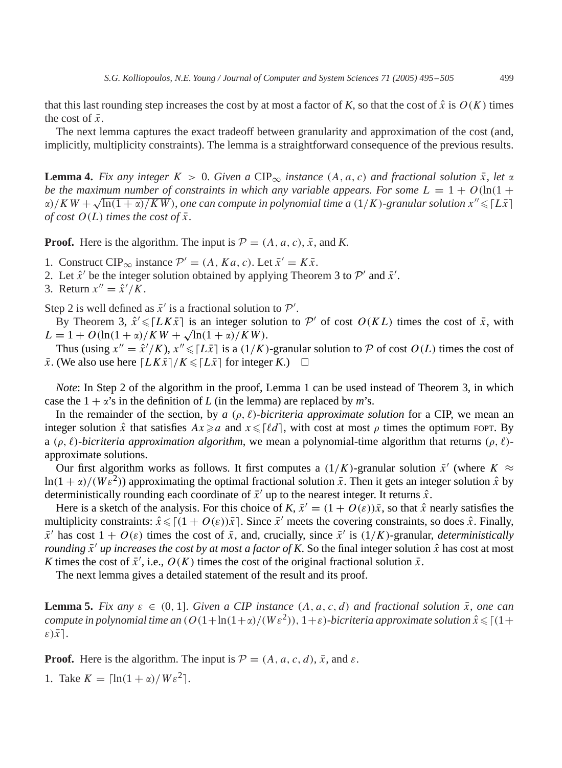<span id="page-4-0"></span>that this last rounding step increases the cost by at most a factor of K, so that the cost of  $\hat{x}$  is  $O(K)$  times the cost of  $\bar{x}$ .

The next lemma captures the exact tradeoff between granularity and approximation of the cost (and, implicitly, multiplicity constraints). The lemma is a straightforward consequence of the previous results.

**Lemma 4.** Fix any integer  $K > 0$ . Given a CIP<sub>∞</sub> instance  $(A, a, c)$  and fractional solution  $\bar{x}$ , let  $\alpha$ *be the maximum number of constraints in which any variable appears. For some*  $L = 1 + O(\ln(1 +$ be the maximum number of constraints in which any variable appears. For some  $L = 1 + O(\ln(1 + \alpha)/KW)$ , one can compute in polynomial time a  $(1/K)$ -granular solution  $x'' \leq L\overline{x}$ ] *of cost*  $O(L)$  *times the cost of*  $\bar{x}$ *.* 

**Proof.** Here is the algorithm. The input is  $\mathcal{P} = (A, a, c), \overline{x}$ , and *K*.

- 1. Construct CIP<sub>∞</sub> instance  $\mathcal{P}' = (A, Ka, c)$ . Let  $\bar{x}' = K\bar{x}$ .
- 2. Let  $\hat{x}'$  be the integer solution obtained by applying Theorem [3](#page-3-0) to  $\mathcal{P}'$  and  $\bar{x}'$ .
- 3. Return  $x'' = \hat{x}'/K$ .

Step 2 is well defined as  $\bar{x}'$  is a fractional solution to  $\mathcal{P}'$ .

By Theorem [3,](#page-3-0)  $\hat{x}' \leq LK\bar{x}$  is an integer solution to P' of cost  $O(KL)$  times the cost of  $\bar{x}$ , with  $L = 1 + O(\ln(1 + \alpha)/KW + \sqrt{\ln(1 + \alpha)/KW}).$ 

Thus (using  $x'' = \hat{x}'/K$ ),  $x'' \le |L\bar{x}|$  is a  $(1/K)$ -granular solution to  $P$  of cost  $O(L)$  times the cost of  $\bar{x}$ . (We also use here  $\lceil L K \bar{x} \rceil / K \leqslant \lceil L \bar{x} \rceil$  for integer *K*.)  $\Box$ 

*Note*: In Step 2 of the algorithm in the proof, Lemma [1](#page-3-0) can be used instead of Theorem [3,](#page-3-0) in which case the  $1 + \alpha$ 's in the definition of *L* (in the lemma) are replaced by *m*'s.

In the remainder of the section, by *a*  $(\rho, \ell)$ -*bicriteria approximate solution* for a CIP, we mean an integer solution  $\hat{x}$  that satisfies  $Ax \ge a$  and  $x \le \lceil \ell d \rceil$ , with cost at most  $\rho$  times the optimum FOPT. By a ( $\rho$ ,  $\ell$ )-bicriteria approximation algorithm, we mean a polynomial-time algorithm that returns ( $\rho$ ,  $\ell$ )approximate solutions.

Our first algorithm works as follows. It first computes a  $(1/K)$ -granular solution  $\bar{x}'$  (where  $K \approx$  $\ln(1 + \alpha)/(W \varepsilon^2)$ ) approximating the optimal fractional solution  $\bar{x}$ . Then it gets an integer solution  $\hat{x}$  by deterministically rounding each coordinate of  $\bar{x}^{\prime}$  up to the nearest integer. It returns  $\hat{x}$ .

Here is a sketch of the analysis. For this choice of *K*,  $\bar{x}' = (1 + O(\varepsilon))\bar{x}$ , so that  $\hat{x}$  nearly satisfies the multiplicity constraints:  $\hat{x} \leq (1 + O(\varepsilon))\bar{x}$ . Since  $\bar{x}'$  meets the covering constraints, so does  $\hat{x}$ . Finally,  $\bar{x}^{\prime}$  has cost  $1 + O(\varepsilon)$  times the cost of  $\bar{x}$ , and, crucially, since  $\bar{x}^{\prime}$  is  $(1/K)$ -granular, *deterministically rounding*  $\bar{x}'$  *up increases the cost by at most a factor of K*. So the final integer solution  $\hat{x}$  has cost at most *K* times the cost of  $\bar{x}'$ , i.e.,  $O(K)$  times the cost of the original fractional solution  $\bar{x}$ .

The next lemma gives a detailed statement of the result and its proof.

**Lemma 5.** *Fix any*  $\varepsilon \in (0, 1]$ . *Given a CIP instance*  $(A, a, c, d)$  *and fractional solution*  $\overline{x}$ *, one can compute in polynomial time an*  $(O(1 + ln(1 + \alpha)/(We^2)), 1 + \varepsilon)$ -bicriteria approximate solution  $\hat{x} \leqslant \lceil (1 + \varepsilon)/\varepsilon \rceil$  $\varepsilon$ ) $\bar{x}$ ].

**Proof.** Here is the algorithm. The input is  $P = (A, a, c, d), \overline{x}$ , and  $\varepsilon$ .

1. Take  $K = \left[\ln(1 + \alpha)/W\epsilon^2\right]$ .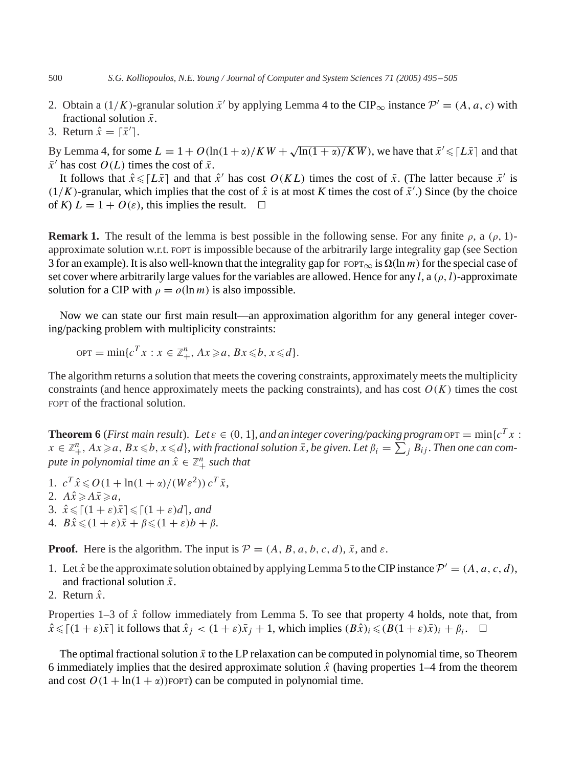- 2. Obtain a (1/K)-granular solution  $\bar{x}'$  by applying Lemma [4](#page-4-0) to the CIP<sub>∞</sub> instance  $\mathcal{P}' = (A, a, c)$  with fractional solution  $\bar{x}$ .
- 3. Return  $\hat{x} = [\bar{x}']$ .

By Lemma [4,](#page-4-0) for some  $L = 1 + O(\ln(1 + \alpha)/KW + \sqrt{\ln(1 + \alpha)/KW})$ , we have that  $\bar{x}' \leq L\bar{x}$  and that  $\bar{x}'$  has cost  $O(L)$  times the cost of  $\bar{x}$ .

It follows that  $\hat{x} \leq l\bar{x}$  and that  $\hat{x}'$  has cost  $O(KL)$  times the cost of  $\bar{x}$ . (The latter because  $\bar{x}'$  is  $(1/K)$ -granular, which implies that the cost of  $\hat{x}$  is at most *K* times the cost of  $\bar{x}'$ .) Since (by the choice of *K*)  $L = 1 + O(\varepsilon)$ , this implies the result.  $\Box$ 

**Remark 1.** The result of the lemma is best possible in the following sense. For any finite  $\rho$ , a  $(\rho, 1)$ approximate solution w.r.t. FOPT is impossible because of the arbitrarily large integrality gap (see Section [3](#page-6-0) for an example). It is also well-known that the integrality gap for FOPT<sub>∞</sub> is  $\Omega(\ln m)$  for the special case of set cover where arbitrarily large values for the variables are allowed. Hence for any l, a  $(\rho, l)$ -approximate solution for a CIP with  $\rho = o(\ln m)$  is also impossible.

Now we can state our first main result—an approximation algorithm for any general integer covering/packing problem with multiplicity constraints:

$$
OPT = \min \{c^T x : x \in \mathbb{Z}_+^n, Ax \geq a, Bx \leq b, x \leq d\}.
$$

The algorithm returns a solution that meets the covering constraints, approximately meets the multiplicity constraints (and hence approximately meets the packing constraints), and has cost  $O(K)$  times the cost FOPT of the fractional solution.

**Theorem 6** (*First main result*). Let  $\varepsilon \in (0, 1]$ , *and an integer covering/packing program*  $\text{OPT} = \min\{c^T x : c^T y \leq c \}$  $x \in \mathbb{Z}_+^n$ ,  $Ax \geq a$ ,  $Bx \leq b$ ,  $x \leq d$ , with fractional solution  $\bar{x}$ , be given. Let  $\beta_i = \sum_j B_{ij}$ . Then one can com*pute in polynomial time an*  $\hat{x} \in \mathbb{Z}_{+}^{n}$  *such that* 

- 1.  $c^T \hat{x} \le O(1 + \ln(1 + \alpha)/(W \varepsilon^2)) c^T \bar{x}$ ,
- 2.  $A\hat{x} \geqslant A\overline{x} \geqslant a$ ,
- 3.  $\hat{x} \leqslant \lceil (1+\varepsilon)\bar{x} \rceil \leqslant \lceil (1+\varepsilon)d \rceil$ , and
- 4.  $B\hat{x} \leq (1+\varepsilon)\bar{x} + \beta \leq (1+\varepsilon)b + \beta.$

**Proof.** Here is the algorithm. The input is  $P = (A, B, a, b, c, d), \overline{x}$ , and  $\varepsilon$ .

- 1. Let  $\hat{x}$  be the approximate solution obtained by applying Lemma [5](#page-4-0) to the CIP instance  $\mathcal{P}' = (A, a, c, d)$ , and fractional solution  $\bar{x}$ .
- 2. Return  $\hat{x}$

Properties 1–3 of  $\hat{x}$  follow immediately from Lemma [5.](#page-4-0) To see that property 4 holds, note that, from  $\hat{x} \leqslant \lceil (1 + \varepsilon)\bar{x} \rceil$  it follows that  $\hat{x}_j < (1 + \varepsilon)\bar{x}_j + 1$ , which implies  $(B\hat{x})_i \leqslant (B(1 + \varepsilon)\bar{x})_i + \beta_i$ .  $\Box$ 

The optimal fractional solution  $\bar{x}$  to the LP relaxation can be computed in polynomial time, so Theorem 6 immediately implies that the desired approximate solution  $\hat{x}$  (having properties 1–4 from the theorem and cost  $O(1 + \ln(1 + \alpha))$ FOPT) can be computed in polynomial time.

<span id="page-5-0"></span>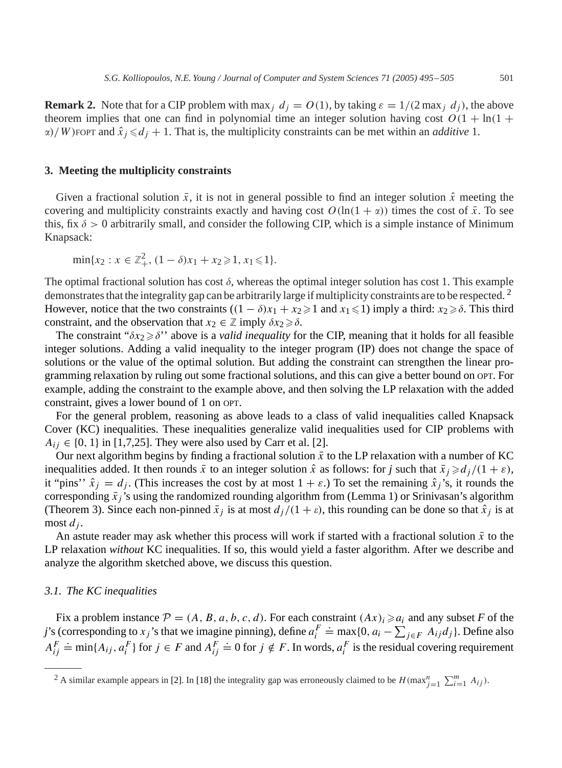<span id="page-6-0"></span>**Remark 2.** Note that for a CIP problem with max<sub>j</sub>  $d_j = O(1)$ , by taking  $\varepsilon = 1/(2 \max_j d_j)$ , the above theorem implies that one can find in polynomial time an integer solution having cost  $O(1 + \ln(1 +$  $\alpha$ )/W) FOPT and  $\hat{x}_j \le d_j + 1$ . That is, the multiplicity constraints can be met within an *additive* 1.

## **3. Meeting the multiplicity constraints**

Given a fractional solution  $\bar{x}$ , it is not in general possible to find an integer solution  $\hat{x}$  meeting the covering and multiplicity constraints exactly and having cost  $O(\ln(1 + \alpha))$  times the cost of  $\bar{x}$ . To see this, fix  $\delta > 0$  arbitrarily small, and consider the following CIP, which is a simple instance of Minimum Knapsack:

$$
\min\{x_2 : x \in \mathbb{Z}_+^2, (1-\delta)x_1 + x_2 \geqslant 1, x_1 \leqslant 1\}.
$$

The optimal fractional solution has cost  $\delta$ , whereas the optimal integer solution has cost 1. This example demonstrates that the integrality gap can be arbitrarily large if multiplicity constraints are to be respected.<sup>2</sup> However, notice that the two constraints  $((1 - \delta)x_1 + x_2 \geq 1$  and  $x_1 \leq 1$ ) imply a third:  $x_2 \geq \delta$ . This third constraint, and the observation that  $x_2 \in \mathbb{Z}$  imply  $\delta x_2 \geq \delta$ .

The constraint " $\delta x_2 \geq \delta$ " above is a *valid inequality* for the CIP, meaning that it holds for all feasible integer solutions. Adding a valid inequality to the integer program (IP) does not change the space of solutions or the value of the optimal solution. But adding the constraint can strengthen the linear programming relaxation by ruling out some fractional solutions, and this can give a better bound on OPT. For example, adding the constraint to the example above, and then solving the LP relaxation with the added constraint, gives a lower bound of 1 on OPT.

For the general problem, reasoning as above leads to a class of valid inequalities called Knapsack Cover (KC) inequalities. These inequalities generalize valid inequalities used for CIP problems with  $A_{ij} \in \{0, 1\}$  in [\[1,](#page-9-0)[7,25\].](#page-10-0) They were also used by Carr et al. [\[2\].](#page-9-0)

Our next algorithm begins by finding a fractional solution  $\bar{x}$  to the LP relaxation with a number of KC inequalities added. It then rounds  $\bar{x}$  to an integer solution  $\hat{x}$  as follows: for *j* such that  $\bar{x}_j \geq d_j/(1 + \varepsilon)$ , it "pins''  $\hat{x}_i = d_i$ . (This increases the cost by at most  $1 + \varepsilon$ .) To set the remaining  $\hat{x}_i$ 's, it rounds the corresponding  $\bar{x}_j$ 's using the randomized rounding algorithm from (Lemma [1\)](#page-3-0) or Srinivasan's algorithm (Theorem [3\)](#page-3-0). Since each non-pinned  $\bar{x}_j$  is at most  $d_j/(1 + \varepsilon)$ , this rounding can be done so that  $\hat{x}_j$  is at most  $d_i$ .

An astute reader may ask whether this process will work if started with a fractional solution  $\bar{x}$  to the LP relaxation *without* KC inequalities. If so, this would yield a faster algorithm. After we describe and analyze the algorithm sketched above, we discuss this question.

#### *3.1. The KC inequalities*

Fix a problem instance  $\mathcal{P} = (A, B, a, b, c, d)$ . For each constraint  $(Ax)_i \ge a_i$  and any subset *F* of the *j*'s (corresponding to  $x_j$ 's that we imagine pinning), define  $a_i^F$  $\therefore$  max{0,  $a_i - \sum_{j \in F} A_{ij} d_j$ }. Define also  $A_{ij}^F$  $\stackrel{\sim}{=} \min\{A_{ij}, a_i^F\}$  for  $j \in F$  and  $A_{ij}^F$  $\Rightarrow$  0 for  $j \notin F$ . In words,  $a_i^F$  is the residual covering requirement

<sup>&</sup>lt;sup>2</sup> A similar example appears in [\[2\].](#page-9-0) In [\[18\]](#page-10-0) the integrality gap was erroneously claimed to be  $H(\max_{j=1}^{n} \sum_{i=1}^{m} A_{ij})$ .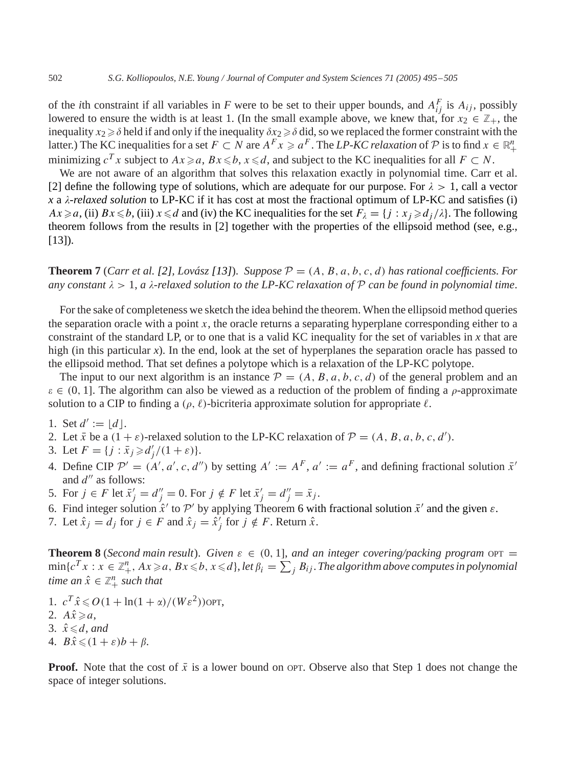of the *i*th constraint if all variables in *F* were to be set to their upper bounds, and  $A_{ij}^F$  is  $A_{ij}$ , possibly lowered to ensure the width is at least 1. (In the small example above, we knew that, for  $x_2 \in \mathbb{Z}_+$ , the inequality  $x_2 \geq \delta$  held if and only if the inequality  $\delta x_2 \geq \delta$  did, so we replaced the former constraint with the latter.) The KC inequalities for a set  $F \subset N$  are  $A^F x \geq a^F$ . The *LP-KC relaxation* of  $P$  is to find  $x \in \mathbb{R}^n_+$ minimizing  $c^T x$  subject to  $Ax \ge a$ ,  $Bx \le b$ ,  $x \le d$ , and subject to the KC inequalities for all  $F \subset N$ .

We are not aware of an algorithm that solves this relaxation exactly in polynomial time. Carr et al. [\[2\]](#page-9-0) define the following type of solutions, which are adequate for our purpose. For  $\lambda > 1$ , call a vector *x* a  $\lambda$ *-relaxed solution* to LP-KC if it has cost at most the fractional optimum of LP-KC and satisfies (i)  $Ax \ge a$ , (ii)  $Bx \le b$ , (iii)  $x \le d$  and (iv) the KC inequalities for the set  $F_{\lambda} = \{j : x_j \ge d_j/\lambda\}$ . The following theorem follows from the results in [\[2\]](#page-9-0) together with the properties of the ellipsoid method (see, e.g., [\[13\]\)](#page-10-0).

**Theorem 7** (*Carr et al.* [\[2\],](#page-9-0) *Lovász* [\[13\]](#page-10-0)). *Suppose*  $P = (A, B, a, b, c, d)$  *has rational coefficients. For any constant*  $\lambda > 1$ , *a*  $\lambda$ -*relaxed solution to the LP-KC relaxation of*  $P$  *can be found in polynomial time.* 

For the sake of completeness we sketch the idea behind the theorem. When the ellipsoid method queries the separation oracle with a point  $x$ , the oracle returns a separating hyperplane corresponding either to a constraint of the standard LP, or to one that is a valid KC inequality for the set of variables in *x* that are high (in this particular *x*). In the end, look at the set of hyperplanes the separation oracle has passed to the ellipsoid method. That set defines a polytope which is a relaxation of the LP-KC polytope.

The input to our next algorithm is an instance  $\mathcal{P} = (A, B, a, b, c, d)$  of the general problem and an  $\varepsilon \in (0, 1]$ . The algorithm can also be viewed as a reduction of the problem of finding a  $\rho$ -approximate solution to a CIP to finding a  $(\rho, \ell)$ -bicriteria approximate solution for appropriate  $\ell$ .

1. Set  $d' := |d|$ .

- 2. Let  $\bar{x}$  be a  $(1 + \varepsilon)$ -relaxed solution to the LP-KC relaxation of  $\mathcal{P} = (A, B, a, b, c, d')$ .
- 3. Let  $F = \{ j : \bar{x}_j \ge d'_j / (1 + \varepsilon) \}.$
- 4. Define CIP  $\mathcal{P}' = (A', a', c, d'')$  by setting  $A' := A^F$ ,  $a' := a^F$ , and defining fractional solution  $\bar{x}'$ and  $d''$  as follows:
- 5. For  $j \in F$  let  $\bar{x}'_j = d''_j = 0$ . For  $j \notin F$  let  $\bar{x}'_j = d''_j = \bar{x}_j$ .
- [6](#page-5-0). Find integer solution  $\hat{x}'$  to  $\mathcal{P}'$  by applying Theorem 6 with fractional solution  $\bar{x}'$  and the given  $\varepsilon$ .
- 7. Let  $\hat{x}_j = d_j$  for  $j \in F$  and  $\hat{x}_j = \hat{x}_j'$  for  $j \notin F$ . Return  $\hat{x}$ .

**Theorem 8** (*Second main result*). *Given*  $\varepsilon \in (0, 1]$ *, and an integer covering/packing program* OPT =  $\min\{c^Tx:x\in\mathbb{Z}_+^n, Ax\!\geqslant\! a, Bx\!\leqslant\! b, x\!\leqslant\! d\},$  let  $\beta_i=\sum\nolimits_jB_{ij}.$  The algorithm above computes in polynomial *time an*  $\hat{x} \in \mathbb{Z}_+^n$  *such that* 

- 1.  $c^T \hat{x} \leqslant O(1 + \ln(1 + \alpha)/(W \varepsilon^2))$ OPT,
- 2.  $A\hat{x} \geq a$ ,
- 3.  $\hat{x} \le d$ , and
- 4.  $B\hat{x} \leqslant (1 + \varepsilon)b + \beta.$

**Proof.** Note that the cost of  $\bar{x}$  is a lower bound on OPT. Observe also that Step 1 does not change the space of integer solutions.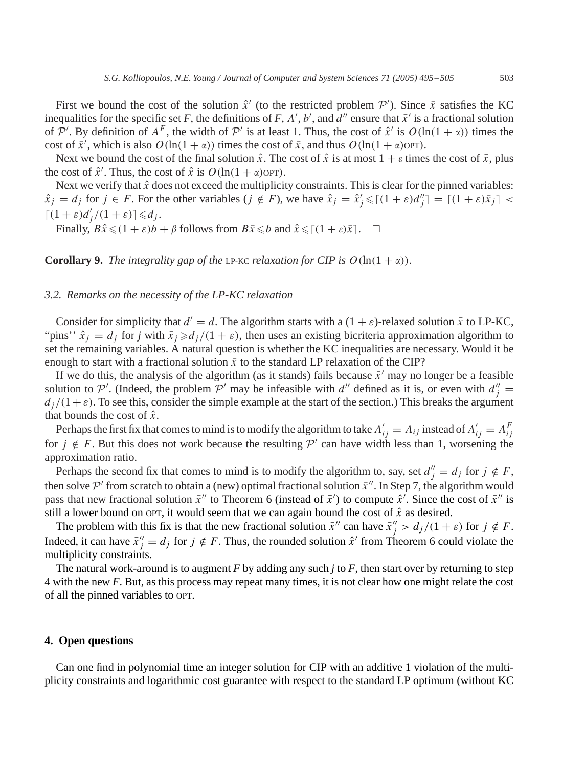<span id="page-8-0"></span>First we bound the cost of the solution  $\hat{x}'$  (to the restricted problem  $\mathcal{P}'$ ). Since  $\bar{x}$  satisfies the KC inequalities for the specific set *F*, the definitions of *F*, *A'*, *b'*, and  $d''$  ensure that  $\bar{x}'$  is a fractional solution of  $\mathcal{P}'$ . By definition of  $A^F$ , the width of  $\mathcal{P}'$  is at least 1. Thus, the cost of  $\hat{x}'$  is  $O(\ln(1 + \alpha))$  times the cost of  $\bar{x}'$ , which is also  $O(\ln(1 + \alpha))$  times the cost of  $\bar{x}$ , and thus  $O(\ln(1 + \alpha)$ OPT).

Next we bound the cost of the final solution  $\hat{x}$ . The cost of  $\hat{x}$  is at most  $1 + \varepsilon$  times the cost of  $\bar{x}$ , plus the cost of  $\hat{x}'$ . Thus, the cost of  $\hat{x}$  is  $O(\ln(1 + \alpha)$ OPT).

Next we verify that  $\hat{x}$  does not exceed the multiplicity constraints. This is clear for the pinned variables:  $\hat{x}_j = d_j$  for  $j \in F$ . For the other variables  $(j \notin F)$ , we have  $\hat{x}_j = \hat{x}'_j \leq (1 + \varepsilon)d''_j = (1 + \varepsilon)\bar{x}_j$   $| \leq$  $\lceil (1+\varepsilon)d'_j/(1+\varepsilon)\rceil \leq d_j.$ 

Finally,  $B\hat{x} \leq (1+\varepsilon)b + \beta$  follows from  $B\bar{x} \leq b$  and  $\hat{x} \leq (1+\varepsilon)\bar{x}$ .  $\Box$ 

**Corollary 9.** *The integrality gap of the LP-KC relaxation for CIP is*  $O(\ln(1 + \alpha))$ .

#### *3.2. Remarks on the necessity of the LP-KC relaxation*

Consider for simplicity that  $d' = d$ . The algorithm starts with a  $(1 + \varepsilon)$ -relaxed solution  $\bar{x}$  to LP-KC, "pins"  $\hat{x}_i = d_i$  for *j* with  $\bar{x}_i \ge d_i/(1 + \varepsilon)$ , then uses an existing bicriteria approximation algorithm to set the remaining variables. A natural question is whether the KC inequalities are necessary. Would it be enough to start with a fractional solution  $\bar{x}$  to the standard LP relaxation of the CIP?

If we do this, the analysis of the algorithm (as it stands) fails because  $\bar{x}'$  may no longer be a feasible solution to P'. (Indeed, the problem P' may be infeasible with d'' defined as it is, or even with  $d''_j$  =  $d_j/(1+\varepsilon)$ . To see this, consider the simple example at the start of the section.) This breaks the argument that bounds the cost of  $\hat{x}$ .

Perhaps the first fix that comes to mind is to modify the algorithm to take  $A'_{ij} = A_{ij}$  instead of  $A'_{ij} = A^F_{ij}$ for  $j \notin F$ . But this does not work because the resulting P' can have width less than 1, worsening the approximation ratio.

Perhaps the second fix that comes to mind is to modify the algorithm to, say, set  $d''_j = d_j$  for  $j \notin F$ , then solve  $\mathcal{P}'$  from scratch to obtain a (new) optimal fractional solution  $\bar{x}''$ . In Step 7, the algorithm would pass that new fractional solution  $\bar{x}''$  to Theorem [6](#page-5-0) (instead of  $\bar{x}'$ ) to compute  $\hat{x}'$ . Since the cost of  $\bar{x}''$  is still a lower bound on OPT, it would seem that we can again bound the cost of  $\hat{x}$  as desired.

The problem with this fix is that the new fractional solution  $\bar{x}''$  can have  $\bar{x}''_j > d_j/(1 + \varepsilon)$  for  $j \notin F$ . Indeed, it can have  $\bar{x}''_j = d_j$  for  $j \notin F$ . Thus, the rounded solution  $\hat{x}'$  from Theorem [6](#page-5-0) could violate the multiplicity constraints.

The natural work-around is to augment *F* by adding any such *j* to *F*, then start over by returning to step 4 with the new *F*. But, as this process may repeat many times, it is not clear how one might relate the cost of all the pinned variables to OPT.

## **4. Open questions**

Can one find in polynomial time an integer solution for CIP with an additive 1 violation of the multiplicity constraints and logarithmic cost guarantee with respect to the standard LP optimum (without KC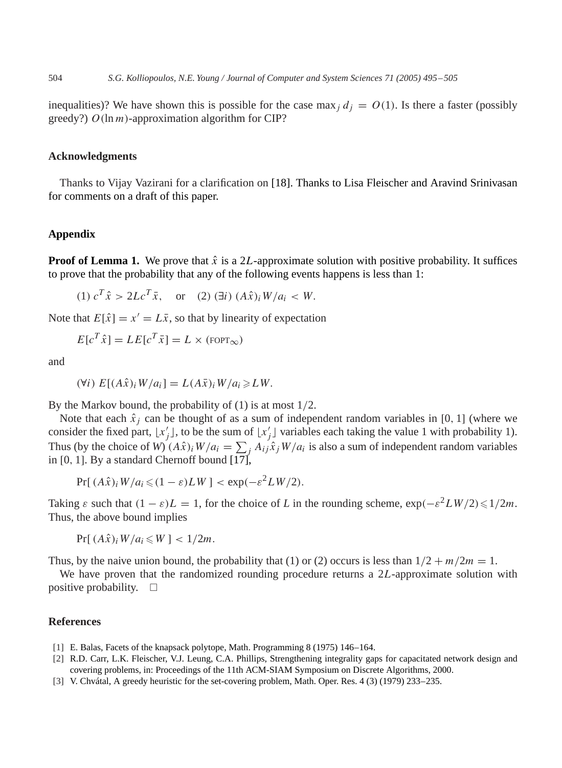<span id="page-9-0"></span>inequalities)? We have shown this is possible for the case max  $id_i = O(1)$ . Is there a faster (possibly greedy?)  $O(\ln m)$ -approximation algorithm for CIP?

## **Acknowledgments**

Thanks to Vijay Vazirani for a clarification on [\[18\].](#page-10-0) Thanks to Lisa Fleischer and Aravind Srinivasan for comments on a draft of this paper.

# **Appendix**

**Proof of Lemma 1.** We prove that  $\hat{x}$  is a 2L-approximate solution with positive probability. It suffices to prove that the probability that any of the following events happens is less than 1:

(1)  $c^T \hat{x} > 2Lc^T \bar{x}$ , or (2) (∃i)  $(A\hat{x})_iW/a_i < W$ .

Note that  $E[\hat{x}] = x' = L\overline{x}$ , so that by linearity of expectation

$$
E[c^T \hat{x}] = LE[c^T \bar{x}] = L \times (\text{FOPT}_{\infty})
$$

and

$$
(\forall i) E[(A\hat{x})_i W/a_i] = L(A\bar{x})_i W/a_i \geq LW.
$$

By the Markov bound, the probability of  $(1)$  is at most  $1/2$ .

Note that each  $\hat{x}_i$  can be thought of as a sum of independent random variables in [0, 1] (where we consider the fixed part,  $\lfloor x'_j \rfloor$ , to be the sum of  $\lfloor x'_j \rfloor$  variables each taking the value 1 with probability 1). Thus (by the choice of *W*)  $(A\hat{x})_i W/a_i = \sum_j A_{ij} \hat{x}_j W/a_i$  is also a sum of independent random variables in [0, 1]. By a standard Chernoff bound  $[17]$ ,

$$
Pr[(A\hat{x})_i W/a_i \leq (1 - \varepsilon)LW] < \exp(-\varepsilon^2 L W/2).
$$

Taking  $\varepsilon$  such that  $(1 - \varepsilon)L = 1$ , for the choice of *L* in the rounding scheme,  $\exp(-\varepsilon^2 L W/2) \leq 1/2m$ . Thus, the above bound implies

$$
Pr[(A\hat{x})_i W/a_i \leq W] < 1/2m.
$$

Thus, by the naive union bound, the probability that (1) or (2) occurs is less than  $1/2 + m/2m = 1$ .

We have proven that the randomized rounding procedure returns a  $2L$ -approximate solution with positive probability.  $\square$ 

## **References**

- [1] E. Balas, Facets of the knapsack polytope, Math. Programming 8 (1975) 146–164.
- [2] R.D. Carr, L.K. Fleischer, V.J. Leung, C.A. Phillips, Strengthening integrality gaps for capacitated network design and covering problems, in: Proceedings of the 11th ACM-SIAM Symposium on Discrete Algorithms, 2000.
- [3] V. Chvátal, A greedy heuristic for the set-covering problem, Math. Oper. Res. 4 (3) (1979) 233–235.